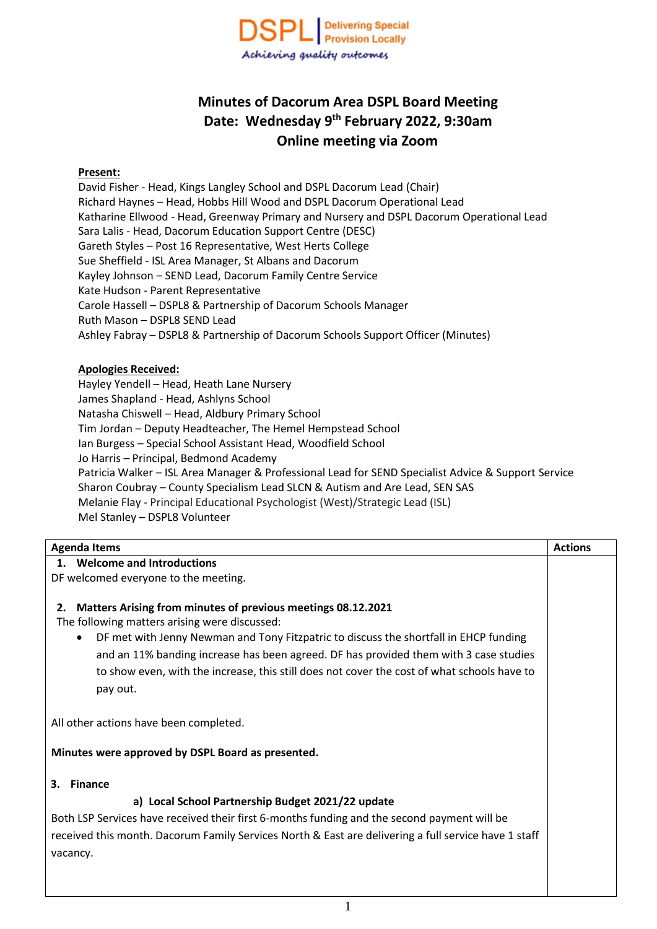

# **Minutes of Dacorum Area DSPL Board Meeting Date: Wednesday 9 th February 2022, 9:30am Online meeting via Zoom**

### **Present:**

David Fisher - Head, Kings Langley School and DSPL Dacorum Lead (Chair) Richard Haynes – Head, Hobbs Hill Wood and DSPL Dacorum Operational Lead Katharine Ellwood - Head, Greenway Primary and Nursery and DSPL Dacorum Operational Lead Sara Lalis - Head, Dacorum Education Support Centre (DESC) Gareth Styles – Post 16 Representative, West Herts College Sue Sheffield - ISL Area Manager, St Albans and Dacorum Kayley Johnson – SEND Lead, Dacorum Family Centre Service Kate Hudson - Parent Representative Carole Hassell – DSPL8 & Partnership of Dacorum Schools Manager Ruth Mason – DSPL8 SEND Lead Ashley Fabray – DSPL8 & Partnership of Dacorum Schools Support Officer (Minutes)

#### **Apologies Received:**

Hayley Yendell – Head, Heath Lane Nursery James Shapland - Head, Ashlyns School Natasha Chiswell – Head, Aldbury Primary School Tim Jordan – Deputy Headteacher, The Hemel Hempstead School Ian Burgess – Special School Assistant Head, Woodfield School Jo Harris – Principal, Bedmond Academy Patricia Walker – ISL Area Manager & Professional Lead for SEND Specialist Advice & Support Service Sharon Coubray – County Specialism Lead SLCN & Autism and Are Lead, SEN SAS Melanie Flay - Principal Educational Psychologist (West)/Strategic Lead (ISL) Mel Stanley – DSPL8 Volunteer

| <b>Agenda Items</b>                                                                                  | <b>Actions</b> |
|------------------------------------------------------------------------------------------------------|----------------|
| <b>Welcome and Introductions</b><br>1.                                                               |                |
| DF welcomed everyone to the meeting.                                                                 |                |
|                                                                                                      |                |
| Matters Arising from minutes of previous meetings 08.12.2021<br>2.                                   |                |
| The following matters arising were discussed:                                                        |                |
| DF met with Jenny Newman and Tony Fitzpatric to discuss the shortfall in EHCP funding<br>$\bullet$   |                |
| and an 11% banding increase has been agreed. DF has provided them with 3 case studies                |                |
| to show even, with the increase, this still does not cover the cost of what schools have to          |                |
| pay out.                                                                                             |                |
|                                                                                                      |                |
| All other actions have been completed.                                                               |                |
| Minutes were approved by DSPL Board as presented.                                                    |                |
| <b>Finance</b><br>3.                                                                                 |                |
| a) Local School Partnership Budget 2021/22 update                                                    |                |
| Both LSP Services have received their first 6-months funding and the second payment will be          |                |
| received this month. Dacorum Family Services North & East are delivering a full service have 1 staff |                |
| vacancy.                                                                                             |                |
|                                                                                                      |                |
|                                                                                                      |                |
|                                                                                                      |                |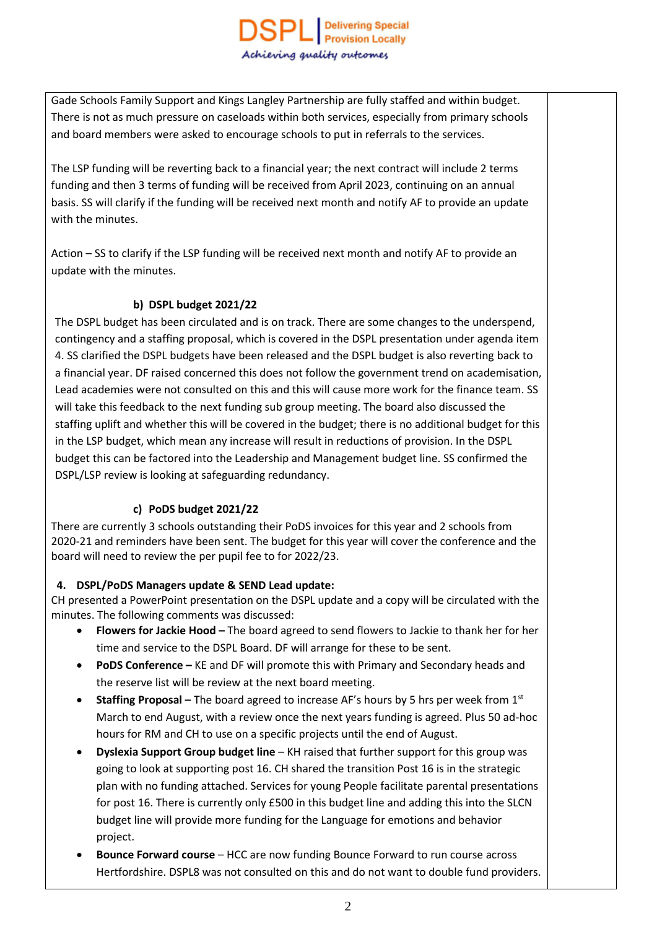Gade Schools Family Support and Kings Langley Partnership are fully staffed and within budget. There is not as much pressure on caseloads within both services, especially from primary schools and board members were asked to encourage schools to put in referrals to the services.

The LSP funding will be reverting back to a financial year; the next contract will include 2 terms funding and then 3 terms of funding will be received from April 2023, continuing on an annual basis. SS will clarify if the funding will be received next month and notify AF to provide an update with the minutes.

Action – SS to clarify if the LSP funding will be received next month and notify AF to provide an update with the minutes.

## **b) DSPL budget 2021/22**

The DSPL budget has been circulated and is on track. There are some changes to the underspend, contingency and a staffing proposal, which is covered in the DSPL presentation under agenda item 4. SS clarified the DSPL budgets have been released and the DSPL budget is also reverting back to a financial year. DF raised concerned this does not follow the government trend on academisation, Lead academies were not consulted on this and this will cause more work for the finance team. SS will take this feedback to the next funding sub group meeting. The board also discussed the staffing uplift and whether this will be covered in the budget; there is no additional budget for this in the LSP budget, which mean any increase will result in reductions of provision. In the DSPL budget this can be factored into the Leadership and Management budget line. SS confirmed the DSPL/LSP review is looking at safeguarding redundancy.

# **c) PoDS budget 2021/22**

There are currently 3 schools outstanding their PoDS invoices for this year and 2 schools from 2020-21 and reminders have been sent. The budget for this year will cover the conference and the board will need to review the per pupil fee to for 2022/23.

# **4. DSPL/PoDS Managers update & SEND Lead update:**

CH presented a PowerPoint presentation on the DSPL update and a copy will be circulated with the minutes. The following comments was discussed:

- **Flowers for Jackie Hood –** The board agreed to send flowers to Jackie to thank her for her time and service to the DSPL Board. DF will arrange for these to be sent.
- **PoDS Conference –** KE and DF will promote this with Primary and Secondary heads and the reserve list will be review at the next board meeting.
- **Staffing Proposal –** The board agreed to increase AF's hours by 5 hrs per week from 1st March to end August, with a review once the next years funding is agreed. Plus 50 ad-hoc hours for RM and CH to use on a specific projects until the end of August.
- **Dyslexia Support Group budget line** KH raised that further support for this group was going to look at supporting post 16. CH shared the transition Post 16 is in the strategic plan with no funding attached. Services for young People facilitate parental presentations for post 16. There is currently only £500 in this budget line and adding this into the SLCN budget line will provide more funding for the Language for emotions and behavior project.
- **Bounce Forward course** HCC are now funding Bounce Forward to run course across Hertfordshire. DSPL8 was not consulted on this and do not want to double fund providers.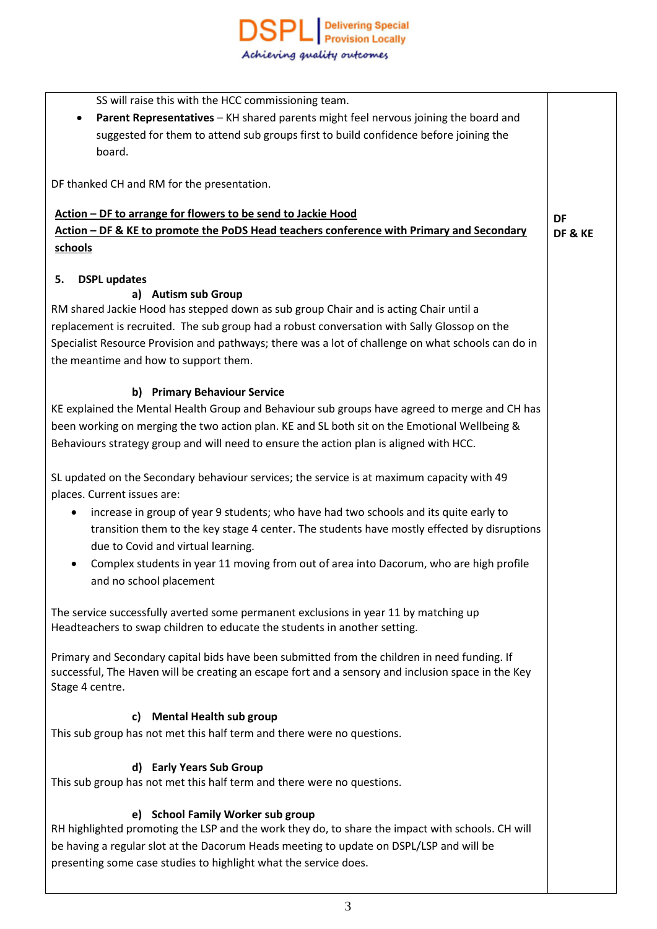| SS will raise this with the HCC commissioning team.                                                 |           |
|-----------------------------------------------------------------------------------------------------|-----------|
| Parent Representatives - KH shared parents might feel nervous joining the board and<br>٠            |           |
| suggested for them to attend sub groups first to build confidence before joining the                |           |
| board.                                                                                              |           |
| DF thanked CH and RM for the presentation.                                                          |           |
|                                                                                                     |           |
| Action - DF to arrange for flowers to be send to Jackie Hood                                        | <b>DF</b> |
| Action - DF & KE to promote the PoDS Head teachers conference with Primary and Secondary            | DF&KE     |
| schools                                                                                             |           |
|                                                                                                     |           |
| 5.<br><b>DSPL updates</b>                                                                           |           |
| a) Autism sub Group                                                                                 |           |
| RM shared Jackie Hood has stepped down as sub group Chair and is acting Chair until a               |           |
| replacement is recruited. The sub group had a robust conversation with Sally Glossop on the         |           |
| Specialist Resource Provision and pathways; there was a lot of challenge on what schools can do in  |           |
| the meantime and how to support them.                                                               |           |
|                                                                                                     |           |
| b) Primary Behaviour Service                                                                        |           |
| KE explained the Mental Health Group and Behaviour sub groups have agreed to merge and CH has       |           |
| been working on merging the two action plan. KE and SL both sit on the Emotional Wellbeing &        |           |
| Behaviours strategy group and will need to ensure the action plan is aligned with HCC.              |           |
|                                                                                                     |           |
| SL updated on the Secondary behaviour services; the service is at maximum capacity with 49          |           |
| places. Current issues are:                                                                         |           |
| increase in group of year 9 students; who have had two schools and its quite early to<br>$\bullet$  |           |
| transition them to the key stage 4 center. The students have mostly effected by disruptions         |           |
| due to Covid and virtual learning.                                                                  |           |
| Complex students in year 11 moving from out of area into Dacorum, who are high profile<br>$\bullet$ |           |
| and no school placement                                                                             |           |
|                                                                                                     |           |
| The service successfully averted some permanent exclusions in year 11 by matching up                |           |
| Headteachers to swap children to educate the students in another setting.                           |           |
| Primary and Secondary capital bids have been submitted from the children in need funding. If        |           |
| successful, The Haven will be creating an escape fort and a sensory and inclusion space in the Key  |           |
| Stage 4 centre.                                                                                     |           |
|                                                                                                     |           |
| <b>Mental Health sub group</b><br>C)                                                                |           |
| This sub group has not met this half term and there were no questions.                              |           |
|                                                                                                     |           |
| d) Early Years Sub Group                                                                            |           |
| This sub group has not met this half term and there were no questions.                              |           |
| <b>School Family Worker sub group</b><br>e).                                                        |           |
| RH highlighted promoting the LSP and the work they do, to share the impact with schools. CH will    |           |
| be having a regular slot at the Dacorum Heads meeting to update on DSPL/LSP and will be             |           |
| presenting some case studies to highlight what the service does.                                    |           |
|                                                                                                     |           |
|                                                                                                     |           |